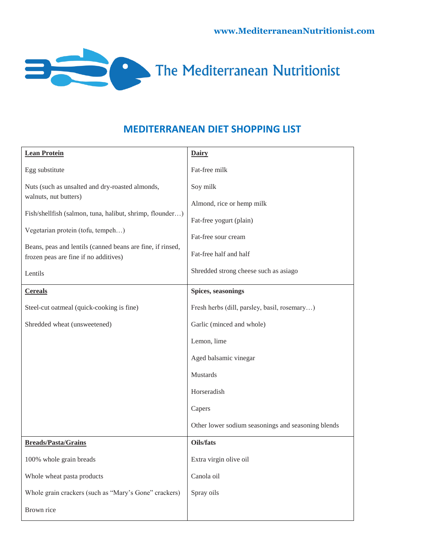

## **MEDITERRANEAN DIET SHOPPING LIST**

| <b>Lean Protein</b>                                                                                 | <b>Dairy</b>                                       |
|-----------------------------------------------------------------------------------------------------|----------------------------------------------------|
| Egg substitute                                                                                      | Fat-free milk                                      |
| Nuts (such as unsalted and dry-roasted almonds,                                                     | Soy milk                                           |
| walnuts, nut butters)                                                                               | Almond, rice or hemp milk                          |
| Fish/shellfish (salmon, tuna, halibut, shrimp, flounder)                                            | Fat-free yogurt (plain)                            |
| Vegetarian protein (tofu, tempeh)                                                                   | Fat-free sour cream                                |
| Beans, peas and lentils (canned beans are fine, if rinsed,<br>frozen peas are fine if no additives) | Fat-free half and half                             |
| Lentils                                                                                             | Shredded strong cheese such as asiago              |
| <b>Cereals</b>                                                                                      | Spices, seasonings                                 |
| Steel-cut oatmeal (quick-cooking is fine)                                                           | Fresh herbs (dill, parsley, basil, rosemary)       |
| Shredded wheat (unsweetened)                                                                        | Garlic (minced and whole)                          |
|                                                                                                     | Lemon, lime                                        |
|                                                                                                     | Aged balsamic vinegar                              |
|                                                                                                     | Mustards                                           |
|                                                                                                     | Horseradish                                        |
|                                                                                                     | Capers                                             |
|                                                                                                     | Other lower sodium seasonings and seasoning blends |
| <b>Breads/Pasta/Grains</b>                                                                          | Oils/fats                                          |
| 100% whole grain breads                                                                             | Extra virgin olive oil                             |
| Whole wheat pasta products                                                                          | Canola oil                                         |
| Whole grain crackers (such as "Mary's Gone" crackers)                                               | Spray oils                                         |
| Brown rice                                                                                          |                                                    |